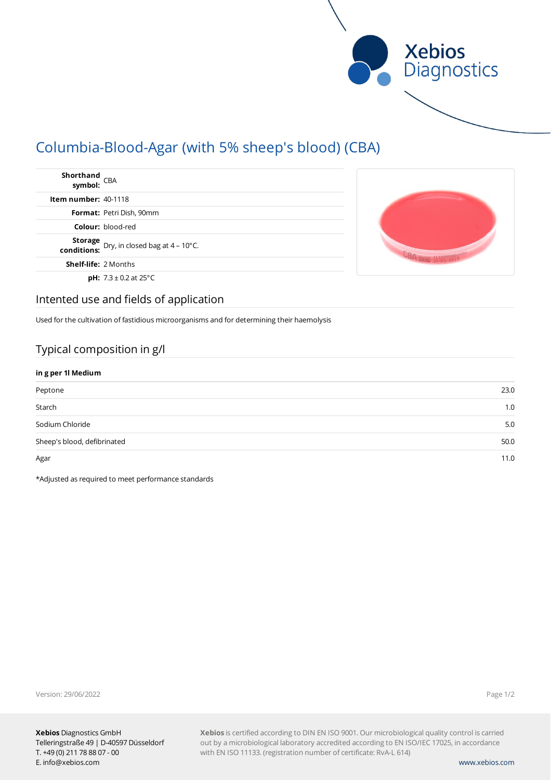

# Columbia-Blood-Agar (with 5% sheep's blood) (CBA)

| Shorthand<br>symbol: <sup>CBA</sup>                           |  |
|---------------------------------------------------------------|--|
| <b>Item number: <math>40-1118</math></b>                      |  |
| Format: Petri Dish, 90mm                                      |  |
| <b>Colour: blood-red</b>                                      |  |
| <b>Storage</b> Dry, in closed bag at 4 – 10°C.<br>conditions: |  |
| <b>Shelf-life: 2 Months</b>                                   |  |
| <b>pH:</b> $7.3 \pm 0.2$ at $25^{\circ}$ C                    |  |

### Intented use and fields of application

Used for the cultivation of fastidious microorganisms and for determining their haemolysis

### Typical composition in g/l

| in g per 1l Medium          |      |  |
|-----------------------------|------|--|
| Peptone                     | 23.0 |  |
| Starch                      | 1.0  |  |
| Sodium Chloride             | 5.0  |  |
| Sheep's blood, defibrinated | 50.0 |  |
| Agar                        | 11.0 |  |

\*Adjusted as required to meet performance standards

Version: 29/06/2022

Page 1/2

**Xebios** is certified according to DIN EN ISO 9001. Our microbiological quality control is carried out by a microbiological laboratory accredited according to EN ISO/IEC 17025, in accordance with EN ISO 11133. (registration number of certificate: RvA-L 614)